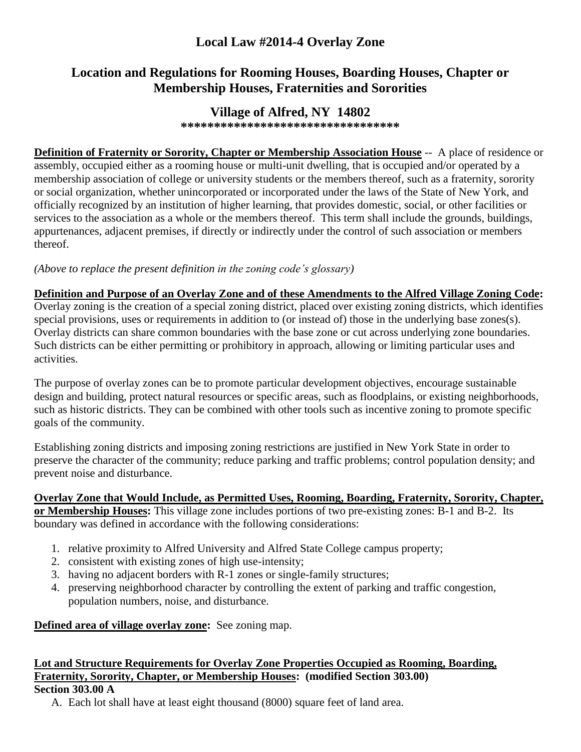## **Local Law #2014-4 Overlay Zone**

# **Location and Regulations for Rooming Houses, Boarding Houses, Chapter or Membership Houses, Fraternities and Sororities**

## **Village of Alfred, NY 14802**

**\*\*\*\*\*\*\*\*\*\*\*\*\*\*\*\*\*\*\*\*\*\*\*\*\*\*\*\*\*\*\*\*\***

**Definition of Fraternity or Sorority, Chapter or Membership Association House** -- A place of residence or assembly, occupied either as a rooming house or multi-unit dwelling, that is occupied and/or operated by a membership association of college or university students or the members thereof, such as a fraternity, sorority or social organization, whether unincorporated or incorporated under the laws of the State of New York, and officially recognized by an institution of higher learning, that provides domestic, social, or other facilities or services to the association as a whole or the members thereof. This term shall include the grounds, buildings, appurtenances, adjacent premises, if directly or indirectly under the control of such association or members thereof.

*(Above to replace the present definition in the zoning code's glossary)*

#### **Definition and Purpose of an Overlay Zone and of these Amendments to the Alfred Village Zoning Code:**

Overlay zoning is the creation of a special zoning district, placed over existing zoning districts, which identifies special provisions, uses or requirements in addition to (or instead of) those in the underlying base zones(s). Overlay districts can share common boundaries with the base zone or cut across underlying zone boundaries. Such districts can be either permitting or prohibitory in approach, allowing or limiting particular uses and activities.

The purpose of overlay zones can be to promote particular development objectives, encourage sustainable design and building, protect natural resources or specific areas, such as floodplains, or existing neighborhoods, such as historic districts. They can be combined with other tools such as incentive zoning to promote specific goals of the community.

Establishing zoning districts and imposing zoning restrictions are justified in New York State in order to preserve the character of the community; reduce parking and traffic problems; control population density; and prevent noise and disturbance.

# **Overlay Zone that Would Include, as Permitted Uses, Rooming, Boarding, Fraternity, Sorority, Chapter,**

**or Membership Houses:** This village zone includes portions of two pre-existing zones: B-1 and B-2. Its boundary was defined in accordance with the following considerations:

- 1. relative proximity to Alfred University and Alfred State College campus property;
- 2. consistent with existing zones of high use-intensity;
- 3. having no adjacent borders with R-1 zones or single-family structures;
- 4. preserving neighborhood character by controlling the extent of parking and traffic congestion, population numbers, noise, and disturbance.

**Defined area of village overlay zone:** See zoning map.

### **Lot and Structure Requirements for Overlay Zone Properties Occupied as Rooming, Boarding, Fraternity, Sorority, Chapter, or Membership Houses: (modified Section 303.00) Section 303.00 A**

A. Each lot shall have at least eight thousand (8000) square feet of land area.